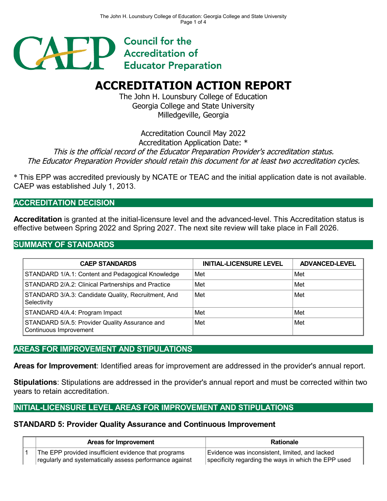

# **ACCREDITATION ACTION REPORT**

The John H. Lounsbury College of Education Georgia College and State University Milledgeville, Georgia

Accreditation Council May 2022

Accreditation Application Date: \*

This is the official record of the Educator Preparation Provider's accreditation status.

The Educator Preparation Provider should retain this document for at least two accreditation cycles.

\* This EPP was accredited previously by NCATE or TEAC and the initial application date is not available. CAEP was established July 1, 2013.

## **ACCREDITATION DECISION**

**Accreditation** is granted at the initial-licensure level and the advanced-level. This Accreditation status is effective between Spring 2022 and Spring 2027. The next site review will take place in Fall 2026.

## **SUMMARY OF STANDARDS**

| <b>CAEP STANDARDS</b>                                                    | <b>INITIAL-LICENSURE LEVEL</b> | <b>ADVANCED-LEVEL</b> |  |  |
|--------------------------------------------------------------------------|--------------------------------|-----------------------|--|--|
| STANDARD 1/A.1: Content and Pedagogical Knowledge                        | Met                            | Met                   |  |  |
| STANDARD 2/A.2: Clinical Partnerships and Practice                       | Met                            | Met                   |  |  |
| STANDARD 3/A.3: Candidate Quality, Recruitment, And<br>Selectivity       | Met                            | Met                   |  |  |
| STANDARD 4/A.4: Program Impact                                           | Met                            | Met                   |  |  |
| STANDARD 5/A.5: Provider Quality Assurance and<br>Continuous Improvement | Met                            | Met                   |  |  |

## **AREAS FOR IMPROVEMENT AND STIPULATIONS**

**Areas for Improvement**: Identified areas for improvement are addressed in the provider's annual report.

**Stipulations**: Stipulations are addressed in the provider's annual report and must be corrected within two years to retain accreditation.

## **INITIAL-LICENSURE LEVEL AREAS FOR IMPROVEMENT AND STIPULATIONS**

#### **STANDARD 5: Provider Quality Assurance and Continuous Improvement**

| Areas for Improvement                                   | <b>Rationale</b>                                     |
|---------------------------------------------------------|------------------------------------------------------|
| The EPP provided insufficient evidence that programs    | Evidence was inconsistent, limited, and lacked       |
| regularly and systematically assess performance against | specificity regarding the ways in which the EPP used |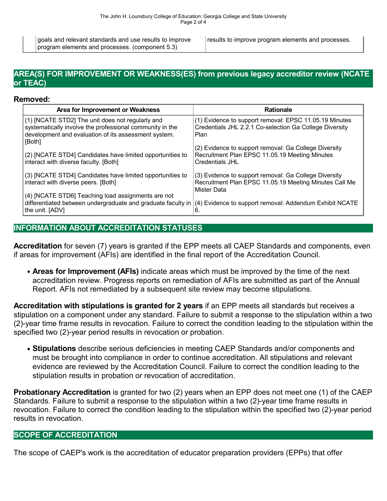goals and relevant standards and use results to improve program elements and processes. (component 5.3)

results to improve program elements and processes.

#### **AREA(S) FOR IMPROVEMENT OR WEAKNESS(ES) from previous legacy accreditor review (NCATE or TEAC)**

#### **Removed:**

| Area for Improvement or Weakness                                                                                 | <b>Rationale</b>                                                                                        |
|------------------------------------------------------------------------------------------------------------------|---------------------------------------------------------------------------------------------------------|
| (1) [NCATE STD2] The unit does not regularly and                                                                 | (1) Evidence to support removal: EPSC 11.05.19 Minutes                                                  |
| systematically involve the professional community in the<br>development and evaluation of its assessment system. | Credentials JHL 2.2.1 Co-selection Ga College Diversity<br>Plan                                         |
| [Both]                                                                                                           |                                                                                                         |
| (2) [NCATE STD4] Candidates have limited opportunities to                                                        | (2) Evidence to support removal: Ga College Diversity<br>Recruitment Plan EPSC 11.05.19 Meeting Minutes |
| interact with diverse faculty. [Both]                                                                            | <b>Credentials JHL</b>                                                                                  |
| (3) [NCATE STD4] Candidates have limited opportunities to                                                        | (3) Evidence to support removal: Ga College Diversity                                                   |
| interact with diverse peers. [Both]                                                                              | Recruitment Plan EPSC 11.05.19 Meeting Minutes Call Me<br>Mister Data                                   |
| (4) [NCATE STD6] Teaching load assignments are not                                                               |                                                                                                         |
| differentiated between undergraduate and graduate faculty in<br>the unit. [ADV]                                  | (4) Evidence to support removal: Addendum Exhibit NCATE<br>'6.                                          |

# **INFORMATION ABOUT ACCREDITATION STATUSES**

**Accreditation** for seven (7) years is granted if the EPP meets all CAEP Standards and components, even if areas for improvement (AFIs) are identified in the final report of the Accreditation Council.

**Areas for Improvement (AFIs)** indicate areas which must be improved by the time of the next accreditation review. Progress reports on remediation of AFIs are submitted as part of the Annual Report. AFIs not remediated by a subsequent site review may become stipulations.

**Accreditation with stipulations is granted for2 years** if an EPP meets all standards butreceives a stipulation on a component under any standard. Failure to submit a response to the stipulation within a two (2)-year time frame results in revocation. Failure to correct the condition leading to the stipulation within the specified two (2)-year period results in revocation or probation.

**Stipulations** describe serious deficiencies in meeting CAEP Standards and/or components and must be brought into compliance in order to continue accreditation. All stipulations and relevant evidence are reviewed by the Accreditation Council. Failure to correct the condition leading to the stipulation results in probation or revocation of accreditation.

**Probationary Accreditation** is granted for two (2) years when an EPP does not meet one (1) of the CAEP Standards. Failure to submit a response to the stipulation within a two (2)-year time frame results in revocation. Failure to correct the condition leading to the stipulation within the specified two (2)-year period results in revocation.

#### **SCOPE OF ACCREDITATION**

The scope of CAEP's work is the accreditation of educator preparation providers (EPPs) that offer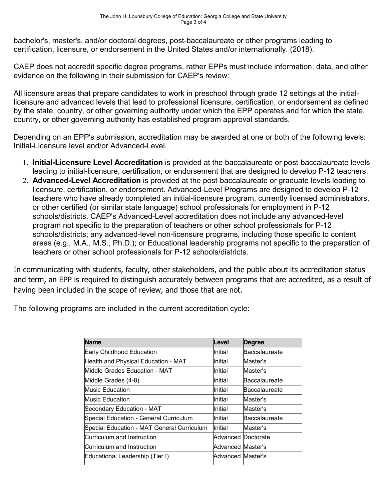bachelor's, master's, and/or doctoral degrees, post-baccalaureate or other programs leading to certification, licensure, or endorsement in the United States and/or internationally. (2018).

CAEP does not accredit specific degree programs, rather EPPs must include information, data, and other evidence on the following in their submission for CAEP's review:

All licensure areas that prepare candidates to work in preschool through grade 12 settings at the initiallicensure and advanced levels that lead to professional licensure, certification, or endorsement as defined by the state, country, or other governing authority under which the EPP operates and for which the state, country, or other governing authority has established program approval standards.

Depending on an EPP's submission, accreditation may be awarded at one or both of the following levels: Initial-Licensure level and/or Advanced-Level.

- 1. **Initial-Licensure Level Accreditation** isprovided at the baccalaureate or post-baccalaureate levels leading to initial-licensure, certification, or endorsement that are designed to develop P-12 teachers.
- 2. **Advanced-Level Accreditation** is provided at the post-baccalaureate or graduate levels leading to licensure, certification, or endorsement. Advanced-Level Programs are designed to develop P-12 teachers who have already completed an initial-licensure program, currently licensed administrators, or other certified (or similar state language) school professionals for employment in P-12 schools/districts. CAEP's Advanced-Level accreditation does not include any advanced-level program not specific to the preparation of teachers or other school professionals for P-12 schools/districts; any advanced-level non-licensure programs, including those specific to content areas (e.g., M.A., M.S., Ph.D.); or Educational leadership programs not specific to the preparation of teachers or other school professionals for P-12 schools/districts.

In communicating with students, faculty, other stakeholders, and the public about its accreditation status and term, an EPP is required to distinguish accurately between programs that are accredited, as a result of having been included in the scope of review, and those that are not.

The following programs are included in the current accreditation cycle:

| <b>Name</b>                                | Level                    | <b>Degree</b>        |
|--------------------------------------------|--------------------------|----------------------|
| Early Childhood Education                  | Initial                  | <b>Baccalaureate</b> |
| Health and Physical Education - MAT        | Initial                  | Master's             |
| Middle Grades Education - MAT              | Initial                  | Master's             |
| Middle Grades (4-8)                        | Initial                  | <b>Baccalaureate</b> |
| <b>Music Education</b>                     | Initial                  | <b>Baccalaureate</b> |
| <b>Music Education</b>                     | Initial                  | Master's             |
| Secondary Education - MAT                  | Initial                  | Master's             |
| Special Education - General Curriculum     | Initial                  | <b>Baccalaureate</b> |
| Special Education - MAT General Curriculum | <b>Initial</b>           | Master's             |
| Curriculum and Instruction                 | Advanced Doctorate       |                      |
| Curriculum and Instruction                 | <b>Advanced Master's</b> |                      |
| Educational Leadership (Tier I)            | <b>Advanced Master's</b> |                      |
|                                            |                          |                      |